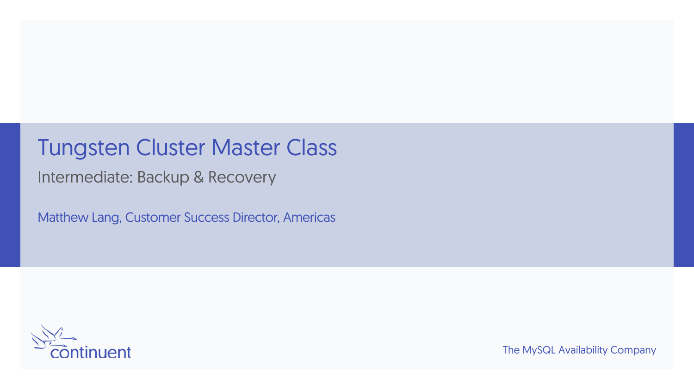#### Tungsten Cluster Master Class

Intermediate: Backup & Recovery

Matthew Lang, Customer Success Director, Americas

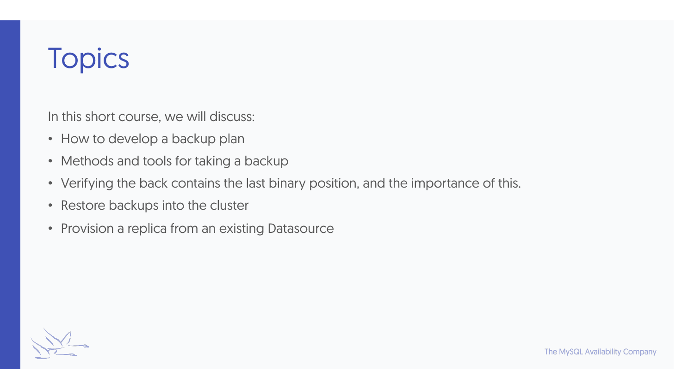# **Topics**

In this short course, we will discuss:

- How to develop a backup plan
- Methods and tools for taking a backup
- Verifying the back contains the last binary position, and the importance of this.
- Restore backups into the cluster
- Provision a replica from an existing Datasource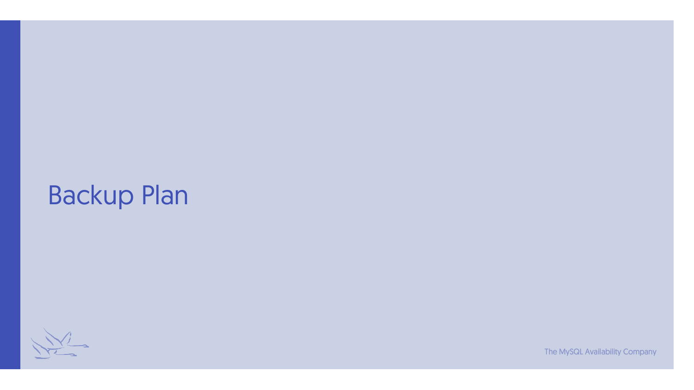#### Backup Plan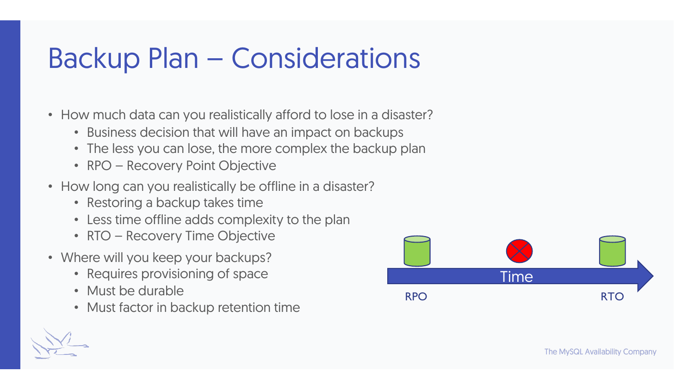## Backup Plan – Considerations

- How much data can you realistically afford to lose in a disaster?
	- Business decision that will have an impact on backups
	- The less you can lose, the more complex the backup plan
	- RPO Recovery Point Objective
- How long can you realistically be offline in a disaster?
	- Restoring a backup takes time
	- Less time offline adds complexity to the plan
	- RTO Recovery Time Objective
- Where will you keep your backups?
	- Requires provisioning of space
	- Must be durable
	- Must factor in backup retention time

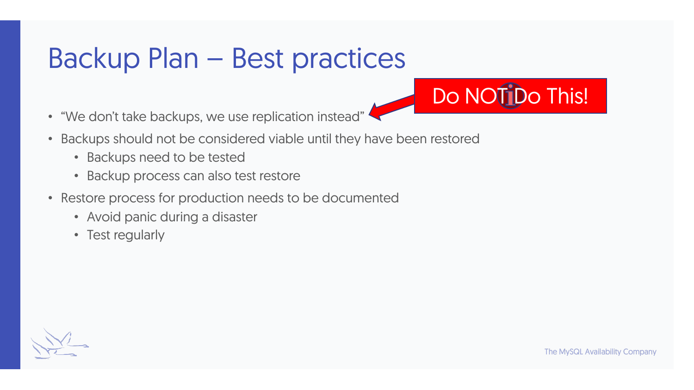## Backup Plan – Best practices

- "We don't take backups, we use replication instead"
- Backups should not be considered viable until they have been restored
	- Backups need to be tested
	- Backup process can also test restore
- Restore process for production needs to be documented
	- Avoid panic during a disaster
	- Test regularly

Do NOTIDo This!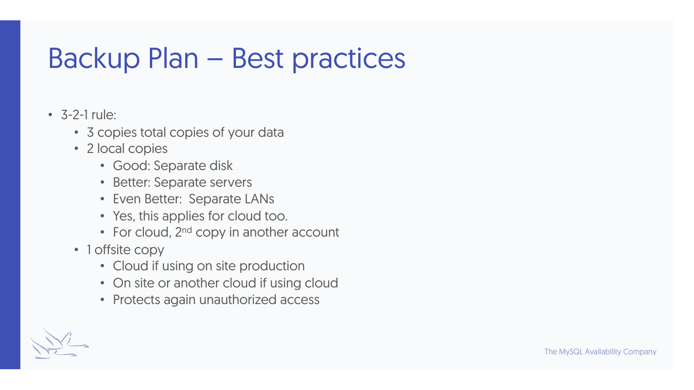## Backup Plan – Best practices

- $\cdot$  3-2-1 rule:
	- 3 copies total copies of your data
	- 2 local copies
		- Good: Separate disk
		- Better: Separate servers
		- Even Better: Separate LANs
		- Yes, this applies for cloud too.
		- For cloud,  $2<sup>nd</sup>$  copy in another account
	- 1 offsite copy
		- Cloud if using on site production
		- On site or another cloud if using cloud
		- Protects again unauthorized access

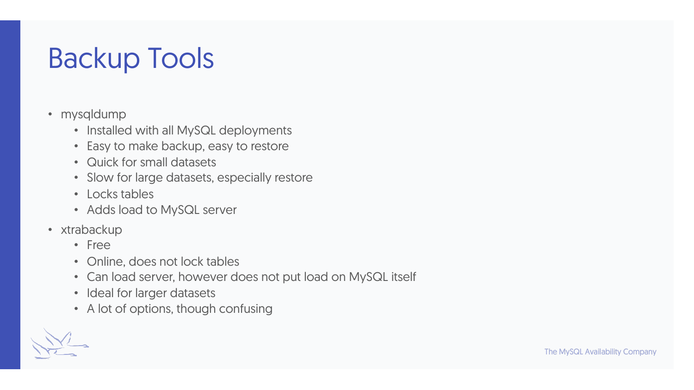# Backup Tools

- mysqldump
	- Installed with all MySQL deployments
	- Easy to make backup, easy to restore
	- Quick for small datasets
	- Slow for large datasets, especially restore
	- Locks tables
	- Adds load to MySQL server
- xtrabackup
	- Free
	- Online, does not lock tables
	- Can load server, however does not put load on MySQL itself
	- Ideal for larger datasets
	- A lot of options, though confusing

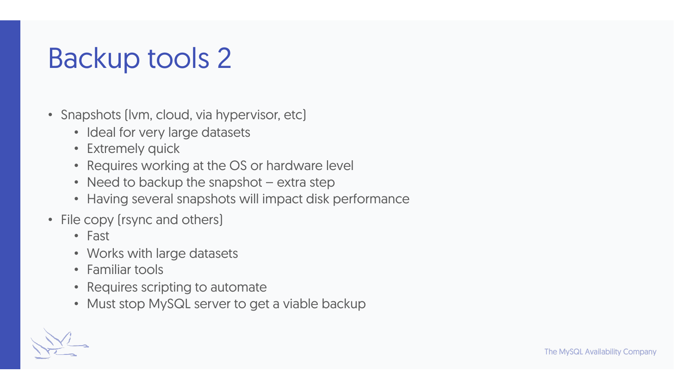# Backup tools 2

- Snapshots (Ivm, cloud, via hypervisor, etc)
	- Ideal for very large datasets
	- Extremely quick
	- Requires working at the OS or hardware level
	- Need to backup the snapshot extra step
	- Having several snapshots will impact disk performance
- File copy (rsync and others)
	- Fast
	- Works with large datasets
	- Familiar tools
	- Requires scripting to automate
	- Must stop MySQL server to get a viable backup

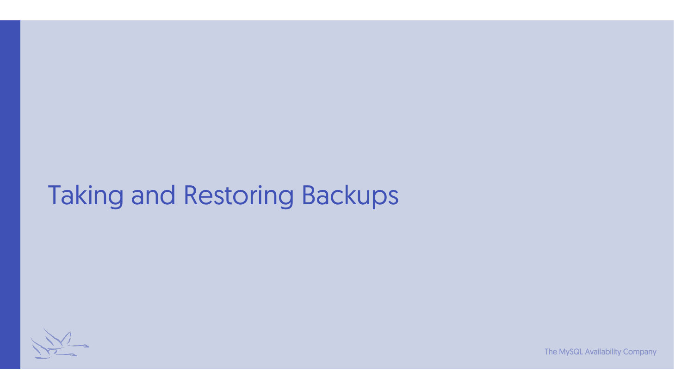## Taking and Restoring Backups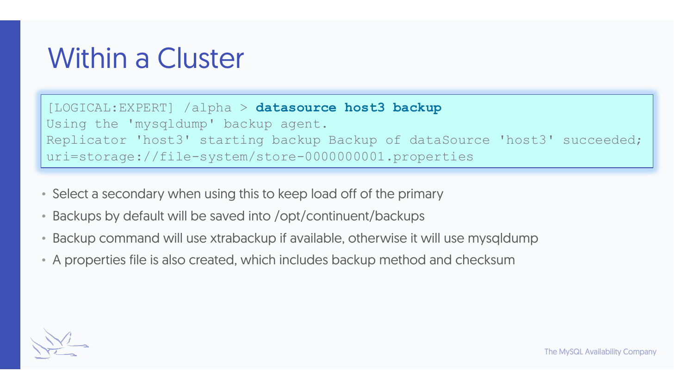Within a Cluster

[LOGICAL:EXPERT] /alpha > **datasource host3 backup** Using the 'mysqldump' backup agent. Replicator 'host3' starting backup Backup of dataSource 'host3' succeeded; uri=storage://file-system/store-0000000001.properties

- Select a secondary when using this to keep load off of the primary
- Backups by default will be saved into /opt/continuent/backups
- Backup command will use xtrabackup if available, otherwise it will use mysqldump
- A properties file is also created, which includes backup method and checksum

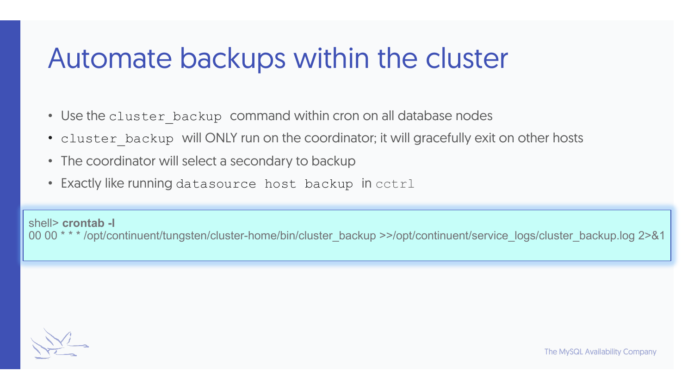## Automate backups within the cluster

- Use the cluster backup command within cron on all database nodes
- cluster backup will ONLY run on the coordinator; it will gracefully exit on other hosts
- The coordinator will select a secondary to backup
- Exactly like running datasource host backup in cctrl

shell> **crontab -l** 00 00 \* \* \* /opt/continuent/tungsten/cluster-home/bin/cluster\_backup >>/opt/continuent/service\_logs/cluster\_backup.log 2>&1

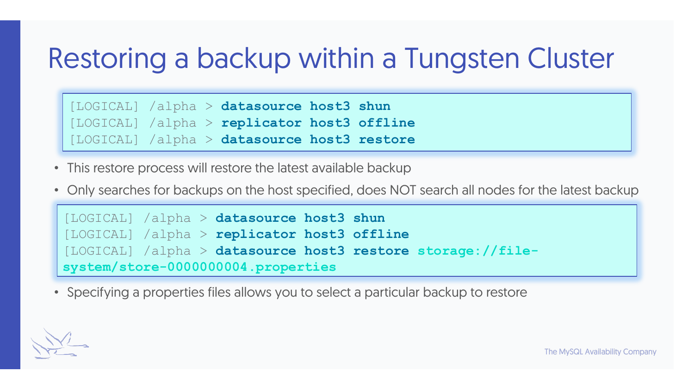## Restoring a backup within a Tungsten Cluster

[LOGICAL] /alpha > **datasource host3 shun** [LOGICAL] /alpha > **replicator host3 offline** [LOGICAL] /alpha > **datasource host3 restore**

- This restore process will restore the latest available backup
- Only searches for backups on the host specified, does NOT search all nodes for the latest backup

```
[LOGICAL] /alpha > datasource host3 shun
[LOGICAL] /alpha > replicator host3 offline
[LOGICAL] /alpha > datasource host3 restore storage://file-
system/store-0000000004.properties
```
• Specifying a properties files allows you to select a particular backup to restore

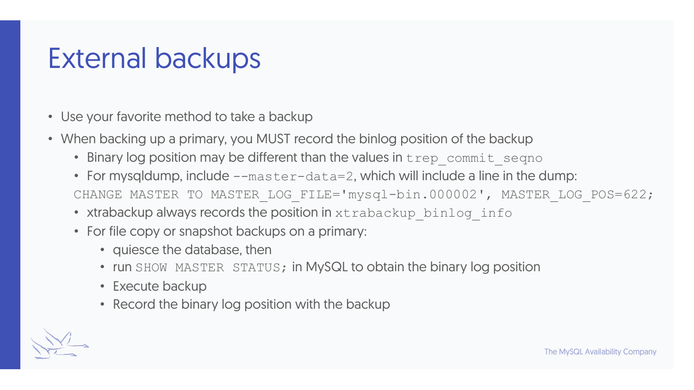## External backups

- Use your favorite method to take a backup
- When backing up a primary, you MUST record the binlog position of the backup
	- Binary log position may be different than the values in trep\_commit\_segno
	- For mysqldump, include --master-data=2, which will include a line in the dump: CHANGE MASTER TO MASTER LOG FILE='mysql-bin.000002', MASTER LOG POS=622;
	- xtrabackup always records the position in xtrabackup binlog info
	- For file copy or snapshot backups on a primary:
		- quiesce the database, then
		- run SHOW MASTER STATUS; in MySQL to obtain the binary log position
		- Execute backup
		- Record the binary log position with the backup

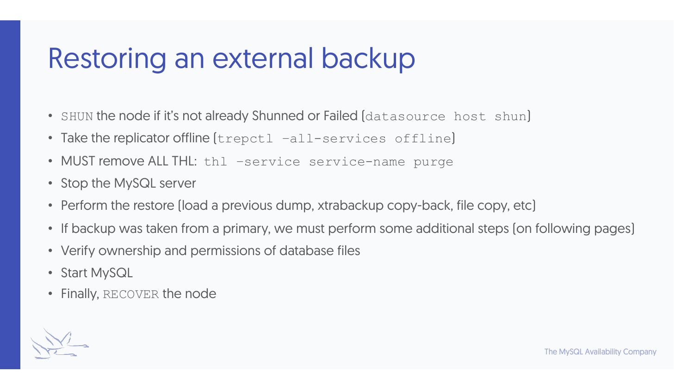## Restoring an external backup

- SHUN the node if it's not already Shunned or Failed (datasource host shun)
- Take the replicator offline (trepctl -all-services offline)
- MUST remove ALL THL: thl -service service-name purge
- Stop the MySQL server
- Perform the restore (load a previous dump, xtrabackup copy-back, file copy, etc)
- If backup was taken from a primary, we must perform some additional steps (on following pages)
- Verify ownership and permissions of database files
- Start MySQL
- Finally, RECOVER the node

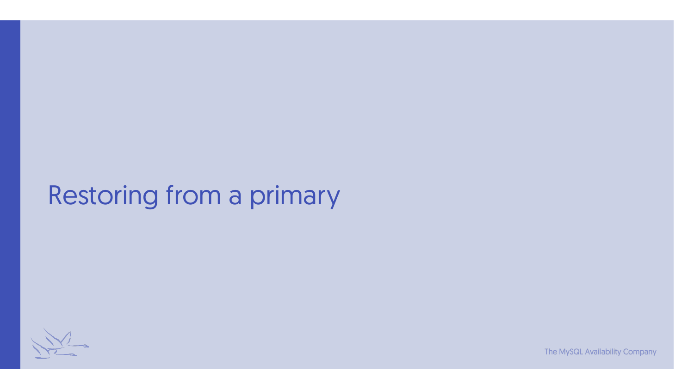#### Restoring from a primary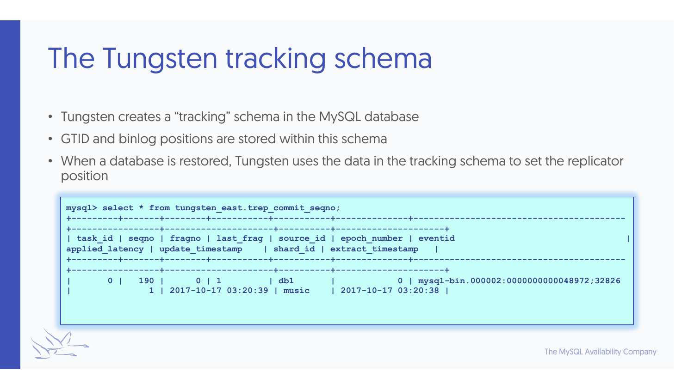## The Tungsten tracking schema

- Tungsten creates a "tracking" schema in the MySQL database
- GTID and binlog positions are stored within this schema
- When a database is restored, Tungsten uses the data in the tracking schema to set the replicator position

| mysql> select * from tungsten east.trep commit seqno; |                                                                   |                                                                                                                          |  |  |
|-------------------------------------------------------|-------------------------------------------------------------------|--------------------------------------------------------------------------------------------------------------------------|--|--|
|                                                       | applied latency   update timestamp   shard id   extract timestamp | task id   seqno   fragno   last frag   source id   epoch number   eventid                                                |  |  |
| 0 <sub>1</sub>                                        |                                                                   | $190$   0   1   db1   0   mysql-bin.000002:0000000000048972;32826<br>1 2017-10-17 03:20:39   music   2017-10-17 03:20:38 |  |  |

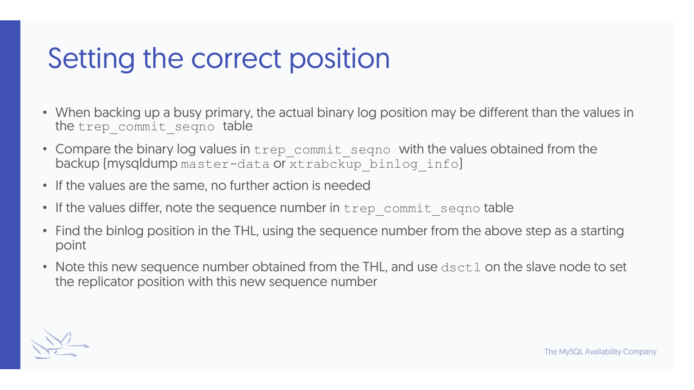## Setting the correct position

- When backing up a busy primary, the actual binary log position may be different than the values in the trep commit seqno table
- Compare the binary log values in trep commit seqno with the values obtained from the backup (mysqldump master-data or xtrabckup binlog info)
- If the values are the same, no further action is needed
- If the values differ, note the sequence number in trep\_commit\_seqno table
- Find the binlog position in the THL, using the sequence number from the above step as a starting point
- Note this new sequence number obtained from the THL, and use dsctl on the slave node to set the replicator position with this new sequence number

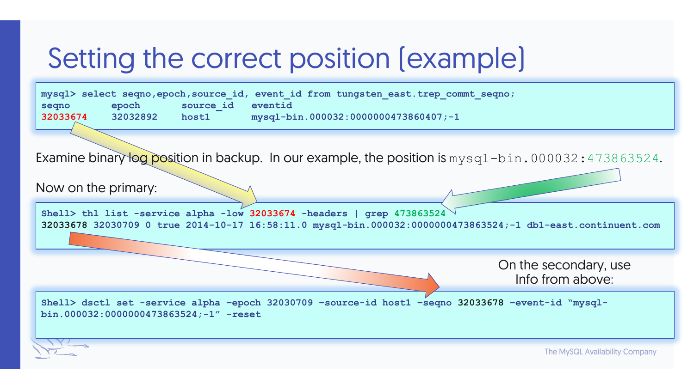# Setting the correct position (example)

|          |          |                   | mysql> select seqno, epoch, source id, event id from tungsten east. trep commt seqno; |
|----------|----------|-------------------|---------------------------------------------------------------------------------------|
| segno    | epoch    | source id eventid |                                                                                       |
| 32033674 | 32032892 | host1             | $mysq1-bin.000032:0000000473860407; -1$                                               |

Examine binary log position in backup. In our example, the position is mysql-bin.000032:473863524.

Now on the primary:

**Shell> thl list -service alpha -low 32033674 -headers | grep 473863524 32033678 32030709 0 true 2014-10-17 16:58:11.0 mysql-bin.000032:0000000473863524;-1 db1-east.continuent.com**

> On the secondary, use Info from above:

**Shell> dsctl set -service alpha –epoch 32030709 –source-id host1 –seqno 32033678 –event-id "mysqlbin.000032:0000000473863524;-1" -reset**

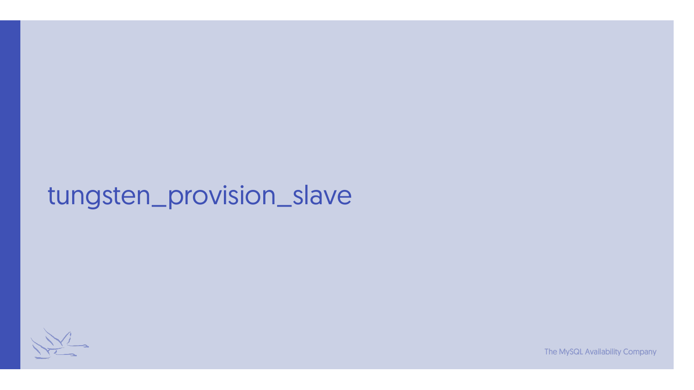#### tungsten\_provision\_slave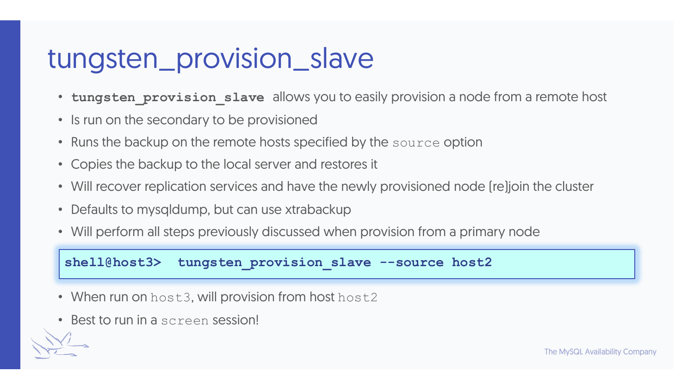## tungsten\_provision\_slave

- **tungsten provision slave** allows you to easily provision a node from a remote host
- Is run on the secondary to be provisioned
- Runs the backup on the remote hosts specified by the source option
- Copies the backup to the local server and restores it
- Will recover replication services and have the newly provisioned node (re)join the cluster
- Defaults to mysqldump, but can use xtrabackup
- Will perform all steps previously discussed when provision from a primary node

#### **shell@host3> tungsten\_provision\_slave --source host2**

- When run on host3, will provision from host host2
- Best to run in a screen session!

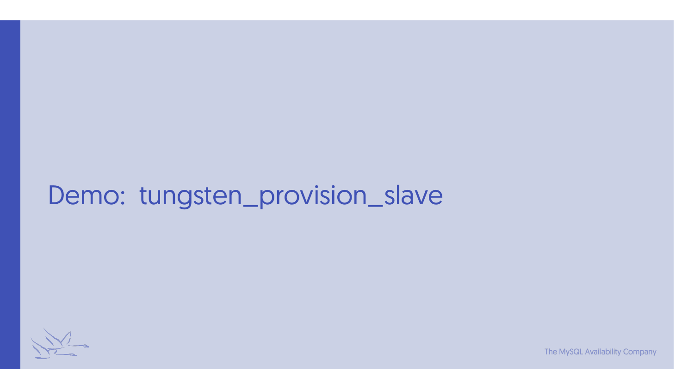#### Demo: tungsten\_provision\_slave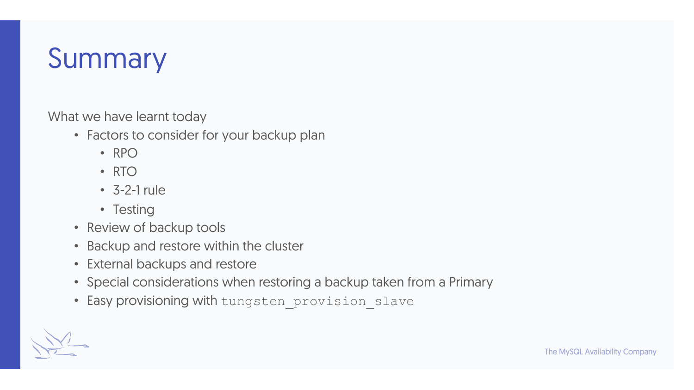## Summary

What we have learnt today

- Factors to consider for your backup plan
	- RPO
	- RTO
	- 3-2-1 rule
	- Testing
- Review of backup tools
- Backup and restore within the cluster
- External backups and restore
- Special considerations when restoring a backup taken from a Primary
- Easy provisioning with tungsten provision slave

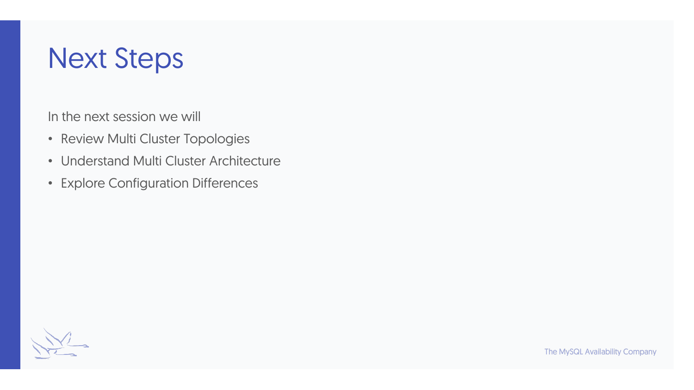## Next Steps

In the next session we will

- Review Multi Cluster Topologies
- Understand Multi Cluster Architecture
- Explore Configuration Differences